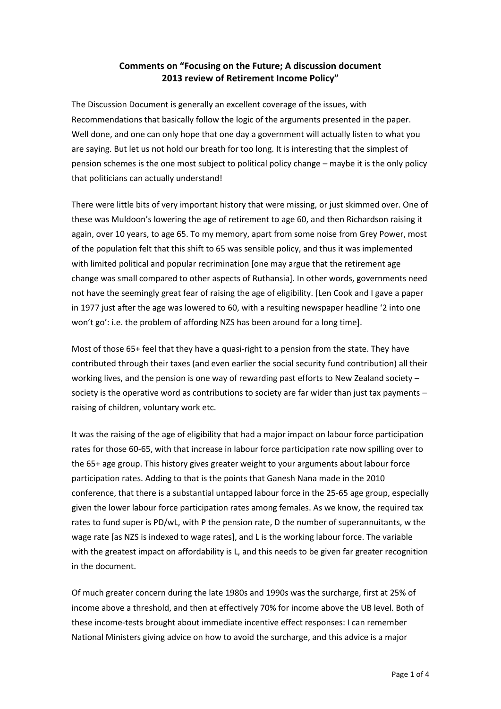## **Comments on "Focusing on the Future; A discussion document 2013 review of Retirement Income Policy"**

The Discussion Document is generally an excellent coverage of the issues, with Recommendations that basically follow the logic of the arguments presented in the paper. Well done, and one can only hope that one day a government will actually listen to what you are saying. But let us not hold our breath for too long. It is interesting that the simplest of pension schemes is the one most subject to political policy change – maybe it is the only policy that politicians can actually understand!

There were little bits of very important history that were missing, or just skimmed over. One of these was Muldoon's lowering the age of retirement to age 60, and then Richardson raising it again, over 10 years, to age 65. To my memory, apart from some noise from Grey Power, most of the population felt that this shift to 65 was sensible policy, and thus it was implemented with limited political and popular recrimination [one may argue that the retirement age change was small compared to other aspects of Ruthansia]. In other words, governments need not have the seemingly great fear of raising the age of eligibility. [Len Cook and I gave a paper in 1977 just after the age was lowered to 60, with a resulting newspaper headline '2 into one won't go': i.e. the problem of affording NZS has been around for a long time].

Most of those 65+ feel that they have a quasi-right to a pension from the state. They have contributed through their taxes (and even earlier the social security fund contribution) all their working lives, and the pension is one way of rewarding past efforts to New Zealand society – society is the operative word as contributions to society are far wider than just tax payments – raising of children, voluntary work etc.

It was the raising of the age of eligibility that had a major impact on labour force participation rates for those 60-65, with that increase in labour force participation rate now spilling over to the 65+ age group. This history gives greater weight to your arguments about labour force participation rates. Adding to that is the points that Ganesh Nana made in the 2010 conference, that there is a substantial untapped labour force in the 25-65 age group, especially given the lower labour force participation rates among females. As we know, the required tax rates to fund super is PD/wL, with P the pension rate, D the number of superannuitants, w the wage rate [as NZS is indexed to wage rates], and L is the working labour force. The variable with the greatest impact on affordability is L, and this needs to be given far greater recognition in the document.

Of much greater concern during the late 1980s and 1990s was the surcharge, first at 25% of income above a threshold, and then at effectively 70% for income above the UB level. Both of these income-tests brought about immediate incentive effect responses: I can remember National Ministers giving advice on how to avoid the surcharge, and this advice is a major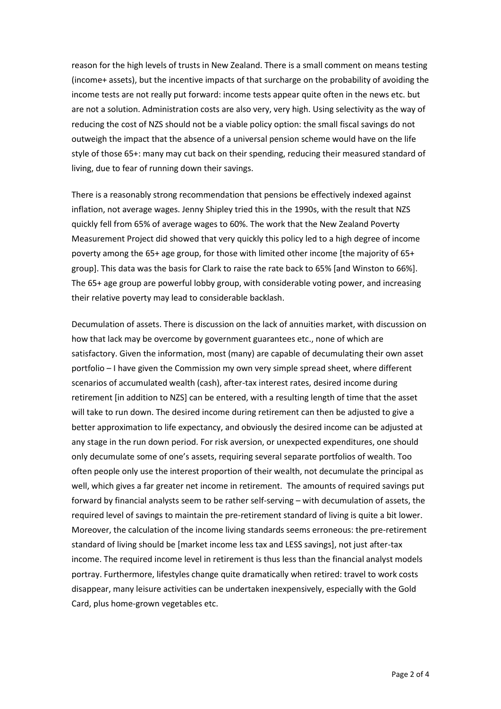reason for the high levels of trusts in New Zealand. There is a small comment on means testing (income+ assets), but the incentive impacts of that surcharge on the probability of avoiding the income tests are not really put forward: income tests appear quite often in the news etc. but are not a solution. Administration costs are also very, very high. Using selectivity as the way of reducing the cost of NZS should not be a viable policy option: the small fiscal savings do not outweigh the impact that the absence of a universal pension scheme would have on the life style of those 65+: many may cut back on their spending, reducing their measured standard of living, due to fear of running down their savings.

There is a reasonably strong recommendation that pensions be effectively indexed against inflation, not average wages. Jenny Shipley tried this in the 1990s, with the result that NZS quickly fell from 65% of average wages to 60%. The work that the New Zealand Poverty Measurement Project did showed that very quickly this policy led to a high degree of income poverty among the 65+ age group, for those with limited other income [the majority of 65+ group]. This data was the basis for Clark to raise the rate back to 65% [and Winston to 66%]. The 65+ age group are powerful lobby group, with considerable voting power, and increasing their relative poverty may lead to considerable backlash.

Decumulation of assets. There is discussion on the lack of annuities market, with discussion on how that lack may be overcome by government guarantees etc., none of which are satisfactory. Given the information, most (many) are capable of decumulating their own asset portfolio – I have given the Commission my own very simple spread sheet, where different scenarios of accumulated wealth (cash), after-tax interest rates, desired income during retirement [in addition to NZS] can be entered, with a resulting length of time that the asset will take to run down. The desired income during retirement can then be adjusted to give a better approximation to life expectancy, and obviously the desired income can be adjusted at any stage in the run down period. For risk aversion, or unexpected expenditures, one should only decumulate some of one's assets, requiring several separate portfolios of wealth. Too often people only use the interest proportion of their wealth, not decumulate the principal as well, which gives a far greater net income in retirement. The amounts of required savings put forward by financial analysts seem to be rather self-serving – with decumulation of assets, the required level of savings to maintain the pre-retirement standard of living is quite a bit lower. Moreover, the calculation of the income living standards seems erroneous: the pre-retirement standard of living should be [market income less tax and LESS savings], not just after-tax income. The required income level in retirement is thus less than the financial analyst models portray. Furthermore, lifestyles change quite dramatically when retired: travel to work costs disappear, many leisure activities can be undertaken inexpensively, especially with the Gold Card, plus home-grown vegetables etc.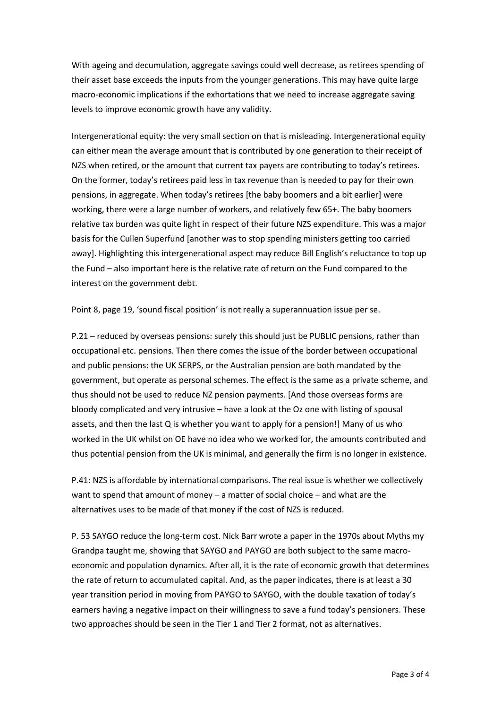With ageing and decumulation, aggregate savings could well decrease, as retirees spending of their asset base exceeds the inputs from the younger generations. This may have quite large macro-economic implications if the exhortations that we need to increase aggregate saving levels to improve economic growth have any validity.

Intergenerational equity: the very small section on that is misleading. Intergenerational equity can either mean the average amount that is contributed by one generation to their receipt of NZS when retired, or the amount that current tax payers are contributing to today's retirees. On the former, today's retirees paid less in tax revenue than is needed to pay for their own pensions, in aggregate. When today's retirees [the baby boomers and a bit earlier] were working, there were a large number of workers, and relatively few 65+. The baby boomers relative tax burden was quite light in respect of their future NZS expenditure. This was a major basis for the Cullen Superfund [another was to stop spending ministers getting too carried away]. Highlighting this intergenerational aspect may reduce Bill English's reluctance to top up the Fund – also important here is the relative rate of return on the Fund compared to the interest on the government debt.

Point 8, page 19, 'sound fiscal position' is not really a superannuation issue per se.

P.21 – reduced by overseas pensions: surely this should just be PUBLIC pensions, rather than occupational etc. pensions. Then there comes the issue of the border between occupational and public pensions: the UK SERPS, or the Australian pension are both mandated by the government, but operate as personal schemes. The effect is the same as a private scheme, and thus should not be used to reduce NZ pension payments. [And those overseas forms are bloody complicated and very intrusive – have a look at the Oz one with listing of spousal assets, and then the last Q is whether you want to apply for a pension!] Many of us who worked in the UK whilst on OE have no idea who we worked for, the amounts contributed and thus potential pension from the UK is minimal, and generally the firm is no longer in existence.

P.41: NZS is affordable by international comparisons. The real issue is whether we collectively want to spend that amount of money – a matter of social choice – and what are the alternatives uses to be made of that money if the cost of NZS is reduced.

P. 53 SAYGO reduce the long-term cost. Nick Barr wrote a paper in the 1970s about Myths my Grandpa taught me, showing that SAYGO and PAYGO are both subject to the same macroeconomic and population dynamics. After all, it is the rate of economic growth that determines the rate of return to accumulated capital. And, as the paper indicates, there is at least a 30 year transition period in moving from PAYGO to SAYGO, with the double taxation of today's earners having a negative impact on their willingness to save a fund today's pensioners. These two approaches should be seen in the Tier 1 and Tier 2 format, not as alternatives.